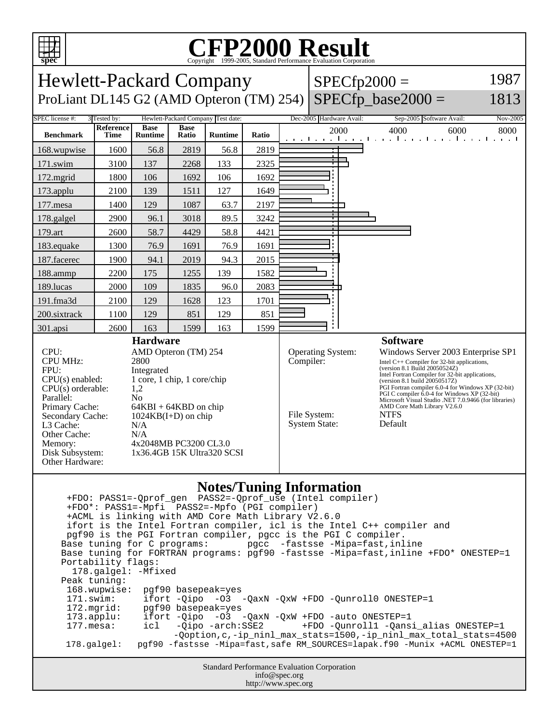

## C<sub>opyright</sub> ©1999-2005, Standard Performance Evaluation Corporation

| spec                                                                                                                                                                                                                                                                                                                                                                                                                                                                                                                                                                                                                                                                                                                                                                                                                                                                                                                                                                                   | Copyright ©1999-2005, Standard Performance Evaluation Corporation |                               |                      |                                    |       |                                                                                                                                                                                                                                                                                                                                                                                                                                                                                                                              |                |                          |                          |          |
|----------------------------------------------------------------------------------------------------------------------------------------------------------------------------------------------------------------------------------------------------------------------------------------------------------------------------------------------------------------------------------------------------------------------------------------------------------------------------------------------------------------------------------------------------------------------------------------------------------------------------------------------------------------------------------------------------------------------------------------------------------------------------------------------------------------------------------------------------------------------------------------------------------------------------------------------------------------------------------------|-------------------------------------------------------------------|-------------------------------|----------------------|------------------------------------|-------|------------------------------------------------------------------------------------------------------------------------------------------------------------------------------------------------------------------------------------------------------------------------------------------------------------------------------------------------------------------------------------------------------------------------------------------------------------------------------------------------------------------------------|----------------|--------------------------|--------------------------|----------|
| 1987<br>Hewlett-Packard Company<br>$SPECfp2000 =$                                                                                                                                                                                                                                                                                                                                                                                                                                                                                                                                                                                                                                                                                                                                                                                                                                                                                                                                      |                                                                   |                               |                      |                                    |       |                                                                                                                                                                                                                                                                                                                                                                                                                                                                                                                              |                |                          |                          |          |
| $SPECfp\_base2000 =$<br>ProLiant DL145 G2 (AMD Opteron (TM) 254)<br>1813                                                                                                                                                                                                                                                                                                                                                                                                                                                                                                                                                                                                                                                                                                                                                                                                                                                                                                               |                                                                   |                               |                      |                                    |       |                                                                                                                                                                                                                                                                                                                                                                                                                                                                                                                              |                |                          |                          |          |
| SPEC license #:                                                                                                                                                                                                                                                                                                                                                                                                                                                                                                                                                                                                                                                                                                                                                                                                                                                                                                                                                                        | 3 Tested by:                                                      |                               |                      | Hewlett-Packard Company Test date: |       |                                                                                                                                                                                                                                                                                                                                                                                                                                                                                                                              |                | Dec-2005 Hardware Avail: | Sep-2005 Software Avail: | Nov-2005 |
| <b>Benchmark</b>                                                                                                                                                                                                                                                                                                                                                                                                                                                                                                                                                                                                                                                                                                                                                                                                                                                                                                                                                                       | <b>Reference</b><br><b>Time</b>                                   | <b>Base</b><br><b>Runtime</b> | <b>Base</b><br>Ratio | <b>Runtime</b>                     | Ratio |                                                                                                                                                                                                                                                                                                                                                                                                                                                                                                                              |                | 2000                     | 4000<br>6000             | 8000     |
| 168.wupwise                                                                                                                                                                                                                                                                                                                                                                                                                                                                                                                                                                                                                                                                                                                                                                                                                                                                                                                                                                            | 1600                                                              | 56.8                          | 2819                 | 56.8                               | 2819  |                                                                                                                                                                                                                                                                                                                                                                                                                                                                                                                              |                |                          |                          |          |
| 171.swim                                                                                                                                                                                                                                                                                                                                                                                                                                                                                                                                                                                                                                                                                                                                                                                                                                                                                                                                                                               | 3100                                                              | 137                           | 2268                 | 133                                | 2325  |                                                                                                                                                                                                                                                                                                                                                                                                                                                                                                                              | $\blacksquare$ |                          |                          |          |
| 172.mgrid                                                                                                                                                                                                                                                                                                                                                                                                                                                                                                                                                                                                                                                                                                                                                                                                                                                                                                                                                                              | 1800                                                              | 106                           | 1692                 | 106                                | 1692  |                                                                                                                                                                                                                                                                                                                                                                                                                                                                                                                              |                |                          |                          |          |
| 173.applu                                                                                                                                                                                                                                                                                                                                                                                                                                                                                                                                                                                                                                                                                                                                                                                                                                                                                                                                                                              | 2100                                                              | 139                           | 1511                 | 127                                | 1649  |                                                                                                                                                                                                                                                                                                                                                                                                                                                                                                                              |                |                          |                          |          |
| 177.mesa                                                                                                                                                                                                                                                                                                                                                                                                                                                                                                                                                                                                                                                                                                                                                                                                                                                                                                                                                                               | 1400                                                              | 129                           | 1087                 | 63.7                               | 2197  |                                                                                                                                                                                                                                                                                                                                                                                                                                                                                                                              |                |                          |                          |          |
| 178.galgel                                                                                                                                                                                                                                                                                                                                                                                                                                                                                                                                                                                                                                                                                                                                                                                                                                                                                                                                                                             | 2900                                                              | 96.1                          | 3018                 | 89.5                               | 3242  |                                                                                                                                                                                                                                                                                                                                                                                                                                                                                                                              |                |                          |                          |          |
| 179.art                                                                                                                                                                                                                                                                                                                                                                                                                                                                                                                                                                                                                                                                                                                                                                                                                                                                                                                                                                                | 2600                                                              | 58.7                          | 4429                 | 58.8                               | 4421  |                                                                                                                                                                                                                                                                                                                                                                                                                                                                                                                              |                |                          |                          |          |
| 183.equake                                                                                                                                                                                                                                                                                                                                                                                                                                                                                                                                                                                                                                                                                                                                                                                                                                                                                                                                                                             | 1300                                                              | 76.9                          | 1691                 | 76.9                               | 1691  |                                                                                                                                                                                                                                                                                                                                                                                                                                                                                                                              |                |                          |                          |          |
| 187.facerec                                                                                                                                                                                                                                                                                                                                                                                                                                                                                                                                                                                                                                                                                                                                                                                                                                                                                                                                                                            | 1900                                                              | 94.1                          | 2019                 | 94.3                               | 2015  |                                                                                                                                                                                                                                                                                                                                                                                                                                                                                                                              |                |                          |                          |          |
| 188.ammp                                                                                                                                                                                                                                                                                                                                                                                                                                                                                                                                                                                                                                                                                                                                                                                                                                                                                                                                                                               | 2200                                                              | 175                           | 1255                 | 139                                | 1582  |                                                                                                                                                                                                                                                                                                                                                                                                                                                                                                                              |                |                          |                          |          |
| 189.lucas                                                                                                                                                                                                                                                                                                                                                                                                                                                                                                                                                                                                                                                                                                                                                                                                                                                                                                                                                                              | 2000                                                              | 109                           | 1835                 | 96.0                               | 2083  |                                                                                                                                                                                                                                                                                                                                                                                                                                                                                                                              |                |                          |                          |          |
| 191.fma3d                                                                                                                                                                                                                                                                                                                                                                                                                                                                                                                                                                                                                                                                                                                                                                                                                                                                                                                                                                              | 2100                                                              | 129                           | 1628                 | 123                                | 1701  |                                                                                                                                                                                                                                                                                                                                                                                                                                                                                                                              |                |                          |                          |          |
| 200.sixtrack                                                                                                                                                                                                                                                                                                                                                                                                                                                                                                                                                                                                                                                                                                                                                                                                                                                                                                                                                                           | 1100                                                              | 129                           | 851                  | 129                                | 851   |                                                                                                                                                                                                                                                                                                                                                                                                                                                                                                                              |                |                          |                          |          |
| 301.apsi                                                                                                                                                                                                                                                                                                                                                                                                                                                                                                                                                                                                                                                                                                                                                                                                                                                                                                                                                                               | 2600                                                              | 163                           | 1599                 | 163                                | 1599  |                                                                                                                                                                                                                                                                                                                                                                                                                                                                                                                              |                |                          |                          |          |
| <b>Hardware</b><br>CPU:<br>AMD Opteron (TM) 254<br><b>CPU MHz:</b><br>2800<br>FPU:<br>Integrated<br>1 core, 1 chip, 1 core/chip<br>$CPU(s)$ enabled:<br>$CPU(s)$ orderable:<br>1,2<br>N <sub>o</sub><br>Parallel:<br>Primary Cache:<br>$64KBI + 64KBD$ on chip<br>Secondary Cache:<br>$1024KB(I+D)$ on chip<br>L3 Cache:<br>N/A<br>Other Cache:<br>N/A<br>4x2048MB PC3200 CL3.0<br>Memory:<br>Disk Subsystem:<br>1x36.4GB 15K Ultra320 SCSI<br>Other Hardware:                                                                                                                                                                                                                                                                                                                                                                                                                                                                                                                         |                                                                   |                               |                      |                                    |       | <b>Software</b><br>Operating System:<br>Windows Server 2003 Enterprise SP1<br>Compiler:<br>Intel $C++$ Compiler for 32-bit applications,<br>(version 8.1 Build 20050524Z)<br>Intel Fortran Compiler for 32-bit applications,<br>(version $8.1$ build $20050517Z$ )<br>PGI Fortran compiler 6.0-4 for Windows XP (32-bit)<br>PGI C compiler 6.0-4 for Windows XP (32-bit)<br>Microsoft Visual Studio .NET 7.0.9466 (for libraries)<br>AMD Core Math Library V2.6.0<br>File System:<br><b>NTFS</b><br>System State:<br>Default |                |                          |                          |          |
| <b>Notes/Tuning Information</b><br>+FDO*: PASS1=-Mpfi PASS2=-Mpfo (PGI compiler)<br>+ACML is linking with AMD Core Math Library V2.6.0<br>ifort is the Intel Fortran compiler, icl is the Intel C++ compiler and<br>pgf90 is the PGI Fortran compiler, pgcc is the PGI C compiler.<br>pgcc -fastsse -Mipa=fast, inline<br>Base tuning for C programs:<br>Base tuning for FORTRAN programs: pgf90 -fastsse -Mipa=fast, inline +FDO* ONESTEP=1<br>Portability flags:<br>178.galgel: - Mfixed<br>Peak tuning:<br>168.wupwise: pgf90 basepeak=yes<br>$171$ .swim:<br>ifort -Qipo -03 -QaxN -QxW +FDO -Qunroll0 ONESTEP=1<br>172.mgrid:<br>pgf90 basepeak=yes<br>ifort -Qipo -03 -QaxN -QxW +FDO -auto ONESTEP=1<br>$173.\text{applu}:$<br>177.mesa:<br>-Qipo -arch:SSE2<br>+FDO -Qunroll1 -Qansi_alias ONESTEP=1<br>icl<br>-Qoption, c,-ip_ninl_max_stats=1500,-ip_ninl_max_total_stats=4500<br>pgf90 -fastsse -Mipa=fast, safe RM_SOURCES=lapak.f90 -Munix +ACML ONESTEP=1<br>178.galgel: |                                                                   |                               |                      |                                    |       |                                                                                                                                                                                                                                                                                                                                                                                                                                                                                                                              |                |                          |                          |          |
| Standard Performance Evaluation Corporation                                                                                                                                                                                                                                                                                                                                                                                                                                                                                                                                                                                                                                                                                                                                                                                                                                                                                                                                            |                                                                   |                               |                      |                                    |       |                                                                                                                                                                                                                                                                                                                                                                                                                                                                                                                              |                |                          |                          |          |

info@spec.org http://www.spec.org